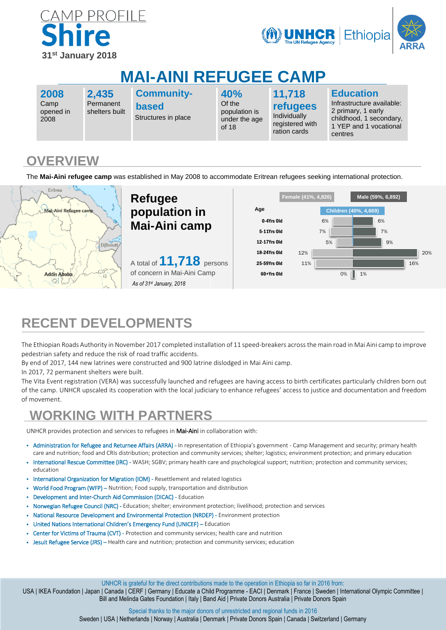



# **MAI-AINI REFUGEE CAMP**

**2008** Camp opened in 2008

**2,435** Permanent shelters built **Community-**

**based** Structures in place **40%** Of the population is under the age of 18

**11,718 refugees** Individually registered with ration cards

**Education**

Infrastructure available: 2 primary, 1 early childhood, 1 secondary, 1 YEP and 1 vocational centres

### **OVERVIEW**

The **Mai-Aini refugee camp** was established in May 2008 to accommodate Eritrean refugees seeking international protection.



# **RECENT DEVELOPMENTS**

The Ethiopian Roads Authority in November 2017 completed installation of 11 speed-breakers acrossthe main road in Mai Aini camp to improve pedestrian safety and reduce the risk of road traffic accidents.

By end of 2017, 144 new latrines were constructed and 900 latrine dislodged in Mai Aini camp.

In 2017, 72 permanent shelters were built.

The Vita Event registration (VERA) was successfully launched and refugees are having access to birth certificates particularly children born out of the camp. UNHCR upscaled its cooperation with the local judiciary to enhance refugees' access to justice and documentation and freedom of movement.

## **WORKING WITH PARTNERS**

UNHCR provides protection and services to refugees in Mai-Aini in collaboration with:

- Administration for Refugee and Returnee Affairs (ARRA) In representation of Ethiopia's government Camp Management and security; primary health care and nutrition; food and CRIs distribution; protection and community services; shelter; logistics; environment protection; and primary education
- International Rescue Committee (IRC) WASH; SGBV; primary health care and psychological support; nutrition; protection and community services; education
- International Organization for Migration (IOM) Resettlement and related logistics
- World Food Program (WFP) Nutrition; Food supply, transportation and distribution
- Development and Inter-Church Aid Commission (DICAC) Education
- Norwegian Refugee Council (NRC) Education; shelter; environment protection; livelihood; protection and services
- National Resource Development and Environmental Protection (NRDEP) Environment protection
- United Nations International Children's Emergency Fund (UNICEF) Education
- Center for Victims of Trauma (CVT) Protection and community services; health care and nutrition
- Jesuit Refugee Service (JRS) Health care and nutrition; protection and community services; education

UNHCR is grateful for the direct contributions made to the operation in Ethiopia so far in 2016 from:

USA | IKEA Foundation | Japan | Canada | CERF | Germany | Educate a Child Programme - EACI | Denmark | France | Sweden | International Olympic Committee | Bill and Melinda Gates Foundation | Italy | Band Aid | Private Donors Australia | Private Donors Spain

Special thanks to the major donors of unrestricted and regional funds in 2016

Sweden | USA | Netherlands | Norway | Australia | Denmark | Private Donors Spain | Canada | Switzerland | Germany